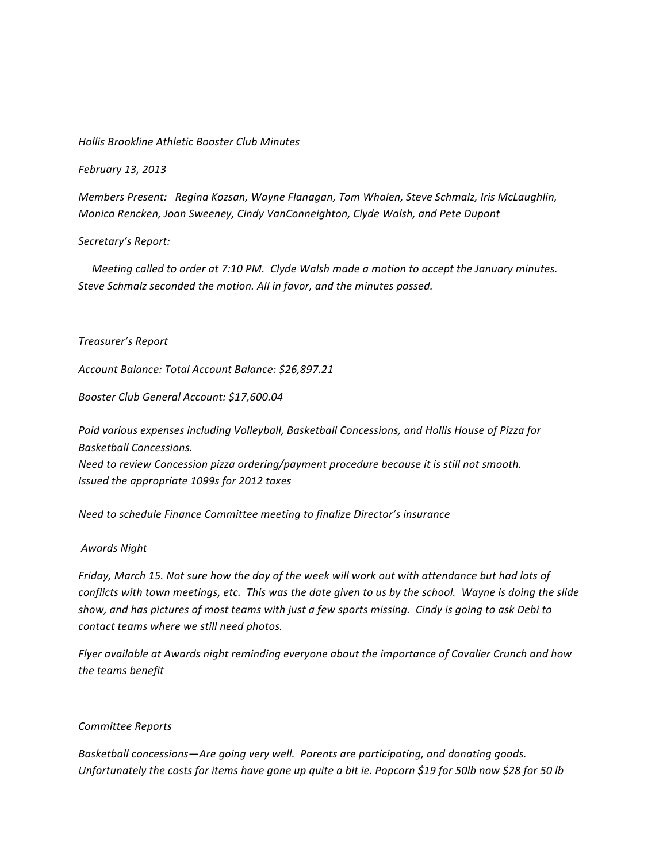### *Hollis!Brookline!Athletic!Booster!Club!Minutes*

*February 13, 2013* 

*Members Present: Regina Kozsan, Wayne Flanagan, Tom Whalen, Steve Schmalz, Iris McLaughlin, Monica Rencken, Joan Sweeney, Cindy VanConneighton, Clyde Walsh, and Pete Dupont* 

## Secretary's Report:

*Meeting called to order at 7:10 PM. Clyde Walsh made a motion to accept the January minutes.* Steve Schmalz seconded the motion. All in favor, and the minutes passed.

## *Treasurer's!Report*

*Account!Balance:!Total!Account!Balance:!\$26,897.21*

Booster Club General Account: \$17,600.04

Paid various expenses including Volleyball, Basketball Concessions, and Hollis House of Pizza for *Basketball!Concessions. Need to review Concession pizza ordering/payment procedure because it is still not smooth. Issued the appropriate 1099s for 2012 taxes* 

*Need to schedule Finance Committee meeting to finalize Director's insurance* 

#### *Awards!Night*

*Friday, March 15. Not sure how the day of the week will work out with attendance but had lots of conflicts with town meetings, etc. This was the date given to us by the school. Wayne is doing the slide show,!and!has!pictures!of!most teams!with!just a!few!sports missing.!!Cindy!is!going!to!ask!Debi!to! contact teams where we still need photos.* 

*Flyer available at Awards night reminding everyone about the importance of Cavalier Crunch and how* the teams benefit

#### *Committee!Reports*

Basketball concessions—Are going very well. Parents are participating, and donating goods. *Unfortunately the costs for items have gone up quite a bit ie. Popcorn \$19 for 50lb now \$28 for 50 lb*